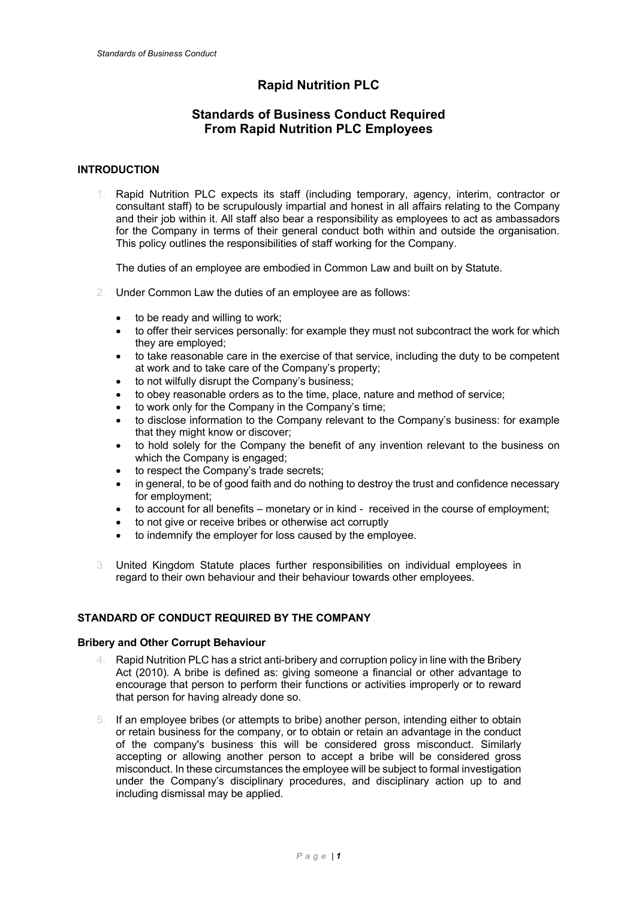# **Rapid Nutrition PLC**

## **Standards of Business Conduct Required From Rapid Nutrition PLC Employees**

## **INTRODUCTION**

1. Rapid Nutrition PLC expects its staff (including temporary, agency, interim, contractor or consultant staff) to be scrupulously impartial and honest in all affairs relating to the Company and their job within it. All staff also bear a responsibility as employees to act as ambassadors for the Company in terms of their general conduct both within and outside the organisation. This policy outlines the responsibilities of staff working for the Company.

The duties of an employee are embodied in Common Law and built on by Statute.

- 2. Under Common Law the duties of an employee are as follows:
	- to be ready and willing to work;
	- to offer their services personally: for example they must not subcontract the work for which they are employed;
	- to take reasonable care in the exercise of that service, including the duty to be competent at work and to take care of the Company's property;
	- to not wilfully disrupt the Company's business;
	- to obey reasonable orders as to the time, place, nature and method of service;
	- to work only for the Company in the Company's time;
	- to disclose information to the Company relevant to the Company's business: for example that they might know or discover;
	- to hold solely for the Company the benefit of any invention relevant to the business on which the Company is engaged;
	- to respect the Company's trade secrets;
	- in general, to be of good faith and do nothing to destroy the trust and confidence necessary for employment;
	- to account for all benefits monetary or in kind received in the course of employment;
	- to not give or receive bribes or otherwise act corruptly
	- to indemnify the employer for loss caused by the employee.
- 3. United Kingdom Statute places further responsibilities on individual employees in regard to their own behaviour and their behaviour towards other employees.

## **STANDARD OF CONDUCT REQUIRED BY THE COMPANY**

#### **Bribery and Other Corrupt Behaviour**

- 4. Rapid Nutrition PLC has a strict anti-bribery and corruption policy in line with the Bribery Act (2010). A bribe is defined as: giving someone a financial or other advantage to encourage that person to perform their functions or activities improperly or to reward that person for having already done so.
- 5. If an employee bribes (or attempts to bribe) another person, intending either to obtain or retain business for the company, or to obtain or retain an advantage in the conduct of the company's business this will be considered gross misconduct. Similarly accepting or allowing another person to accept a bribe will be considered gross misconduct. In these circumstances the employee will be subject to formal investigation under the Company's disciplinary procedures, and disciplinary action up to and including dismissal may be applied.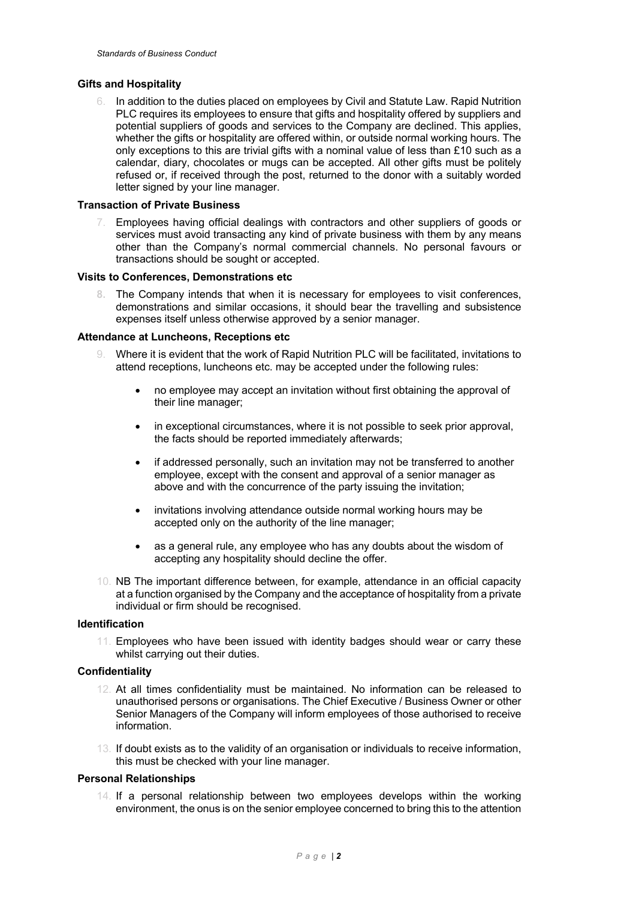## **Gifts and Hospitality**

6. In addition to the duties placed on employees by Civil and Statute Law. Rapid Nutrition PLC requires its employees to ensure that gifts and hospitality offered by suppliers and potential suppliers of goods and services to the Company are declined. This applies, whether the gifts or hospitality are offered within, or outside normal working hours. The only exceptions to this are trivial gifts with a nominal value of less than £10 such as a calendar, diary, chocolates or mugs can be accepted. All other gifts must be politely refused or, if received through the post, returned to the donor with a suitably worded letter signed by your line manager.

#### **Transaction of Private Business**

Employees having official dealings with contractors and other suppliers of goods or services must avoid transacting any kind of private business with them by any means other than the Company's normal commercial channels. No personal favours or transactions should be sought or accepted.

#### **Visits to Conferences, Demonstrations etc**

**8.** The Company intends that when it is necessary for employees to visit conferences, demonstrations and similar occasions, it should bear the travelling and subsistence expenses itself unless otherwise approved by a senior manager.

#### **Attendance at Luncheons, Receptions etc**

- 9. Where it is evident that the work of Rapid Nutrition PLC will be facilitated, invitations to attend receptions, luncheons etc. may be accepted under the following rules:
	- no employee may accept an invitation without first obtaining the approval of their line manager;
	- in exceptional circumstances, where it is not possible to seek prior approval, the facts should be reported immediately afterwards;
	- if addressed personally, such an invitation may not be transferred to another employee, except with the consent and approval of a senior manager as above and with the concurrence of the party issuing the invitation;
	- invitations involving attendance outside normal working hours may be accepted only on the authority of the line manager;
	- as a general rule, any employee who has any doubts about the wisdom of accepting any hospitality should decline the offer.
- 10. NB The important difference between, for example, attendance in an official capacity at a function organised by the Company and the acceptance of hospitality from a private individual or firm should be recognised.

#### **Identification**

11. Employees who have been issued with identity badges should wear or carry these whilst carrying out their duties.

#### **Confidentiality**

- 12. At all times confidentiality must be maintained. No information can be released to unauthorised persons or organisations. The Chief Executive / Business Owner or other Senior Managers of the Company will inform employees of those authorised to receive information.
- 13. If doubt exists as to the validity of an organisation or individuals to receive information, this must be checked with your line manager.

#### **Personal Relationships**

14. If a personal relationship between two employees develops within the working environment, the onus is on the senior employee concerned to bring this to the attention